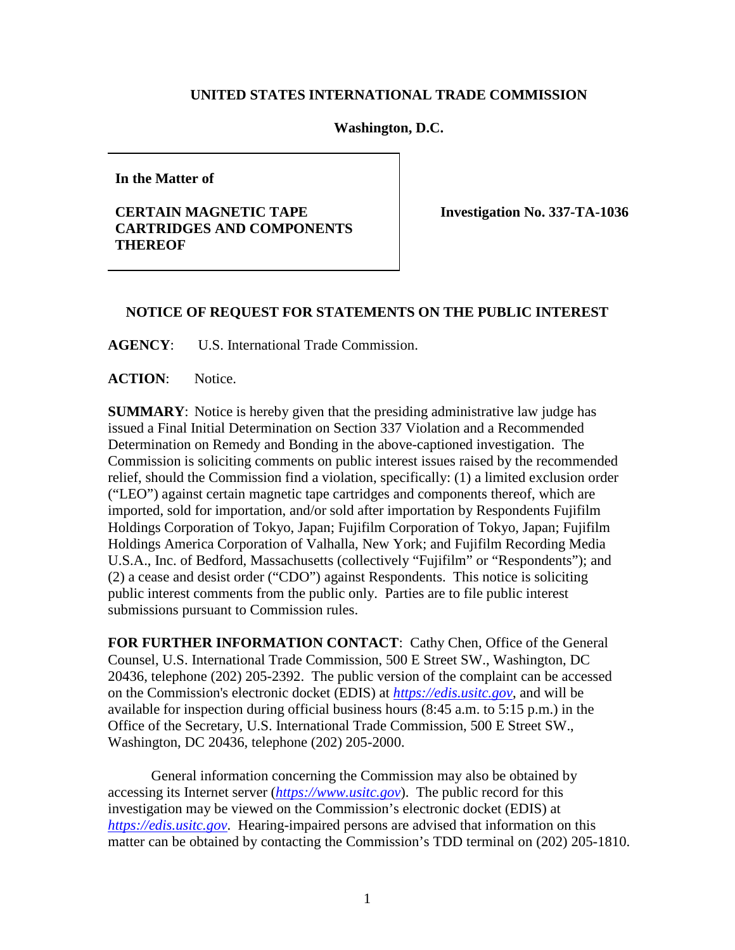## **UNITED STATES INTERNATIONAL TRADE COMMISSION**

## **Washington, D.C.**

**In the Matter of**

## **CERTAIN MAGNETIC TAPE CARTRIDGES AND COMPONENTS THEREOF**

**Investigation No. 337-TA-1036**

## **NOTICE OF REQUEST FOR STATEMENTS ON THE PUBLIC INTEREST**

**AGENCY**: U.S. International Trade Commission.

**ACTION**: Notice.

**SUMMARY**: Notice is hereby given that the presiding administrative law judge has issued a Final Initial Determination on Section 337 Violation and a Recommended Determination on Remedy and Bonding in the above-captioned investigation. The Commission is soliciting comments on public interest issues raised by the recommended relief, should the Commission find a violation, specifically: (1) a limited exclusion order ("LEO") against certain magnetic tape cartridges and components thereof, which are imported, sold for importation, and/or sold after importation by Respondents Fujifilm Holdings Corporation of Tokyo, Japan; Fujifilm Corporation of Tokyo, Japan; Fujifilm Holdings America Corporation of Valhalla, New York; and Fujifilm Recording Media U.S.A., Inc. of Bedford, Massachusetts (collectively "Fujifilm" or "Respondents"); and (2) a cease and desist order ("CDO") against Respondents. This notice is soliciting public interest comments from the public only. Parties are to file public interest submissions pursuant to Commission rules.

**FOR FURTHER INFORMATION CONTACT**: Cathy Chen, Office of the General Counsel, U.S. International Trade Commission, 500 E Street SW., Washington, DC 20436, telephone (202) 205-2392. The public version of the complaint can be accessed on the Commission's electronic docket (EDIS) at *[https://edis.usitc.gov](https://edis.usitc.gov/)*, and will be available for inspection during official business hours (8:45 a.m. to 5:15 p.m.) in the Office of the Secretary, U.S. International Trade Commission, 500 E Street SW., Washington, DC 20436, telephone (202) 205-2000.

General information concerning the Commission may also be obtained by accessing its Internet server (*[https://www.usitc.gov](https://www.usitc.gov/)*). The public record for this investigation may be viewed on the Commission's electronic docket (EDIS) at *[https://edis.usitc.gov](http://edis.usitc.gov/)*. Hearing-impaired persons are advised that information on this matter can be obtained by contacting the Commission's TDD terminal on (202) 205-1810.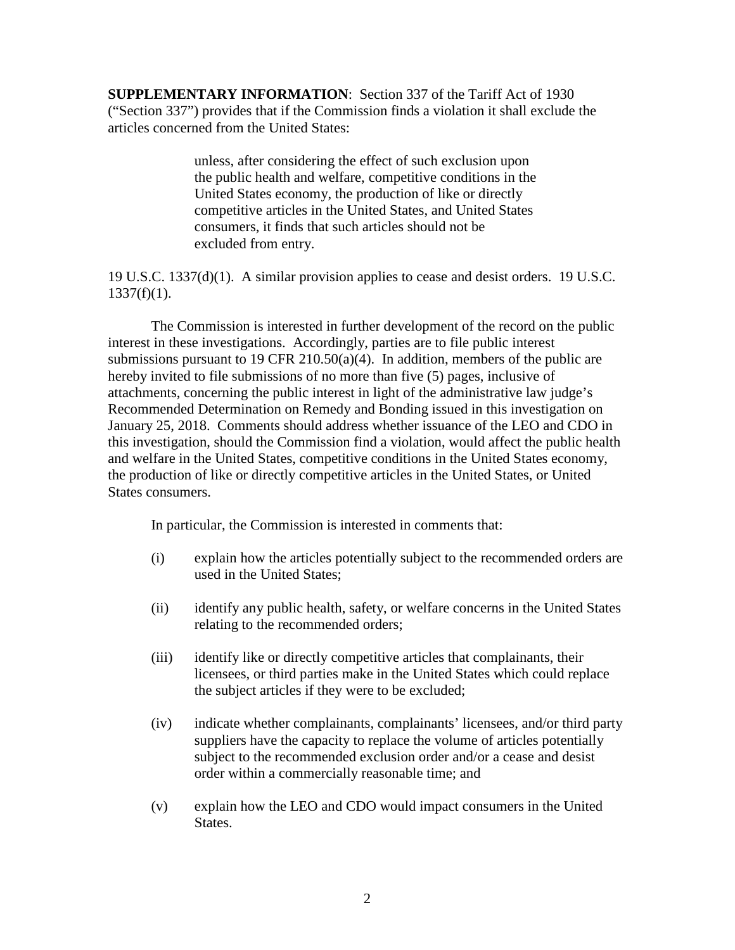**SUPPLEMENTARY INFORMATION**: Section 337 of the Tariff Act of 1930 ("Section 337") provides that if the Commission finds a violation it shall exclude the articles concerned from the United States:

> unless, after considering the effect of such exclusion upon the public health and welfare, competitive conditions in the United States economy, the production of like or directly competitive articles in the United States, and United States consumers, it finds that such articles should not be excluded from entry.

19 U.S.C. 1337(d)(1). A similar provision applies to cease and desist orders. 19 U.S.C.  $1337(f)(1)$ .

The Commission is interested in further development of the record on the public interest in these investigations. Accordingly, parties are to file public interest submissions pursuant to 19 CFR 210.50(a)(4). In addition, members of the public are hereby invited to file submissions of no more than five (5) pages, inclusive of attachments, concerning the public interest in light of the administrative law judge's Recommended Determination on Remedy and Bonding issued in this investigation on January 25, 2018. Comments should address whether issuance of the LEO and CDO in this investigation, should the Commission find a violation, would affect the public health and welfare in the United States, competitive conditions in the United States economy, the production of like or directly competitive articles in the United States, or United States consumers.

In particular, the Commission is interested in comments that:

- (i) explain how the articles potentially subject to the recommended orders are used in the United States;
- (ii) identify any public health, safety, or welfare concerns in the United States relating to the recommended orders;
- (iii) identify like or directly competitive articles that complainants, their licensees, or third parties make in the United States which could replace the subject articles if they were to be excluded;
- (iv) indicate whether complainants, complainants' licensees, and/or third party suppliers have the capacity to replace the volume of articles potentially subject to the recommended exclusion order and/or a cease and desist order within a commercially reasonable time; and
- (v) explain how the LEO and CDO would impact consumers in the United States.